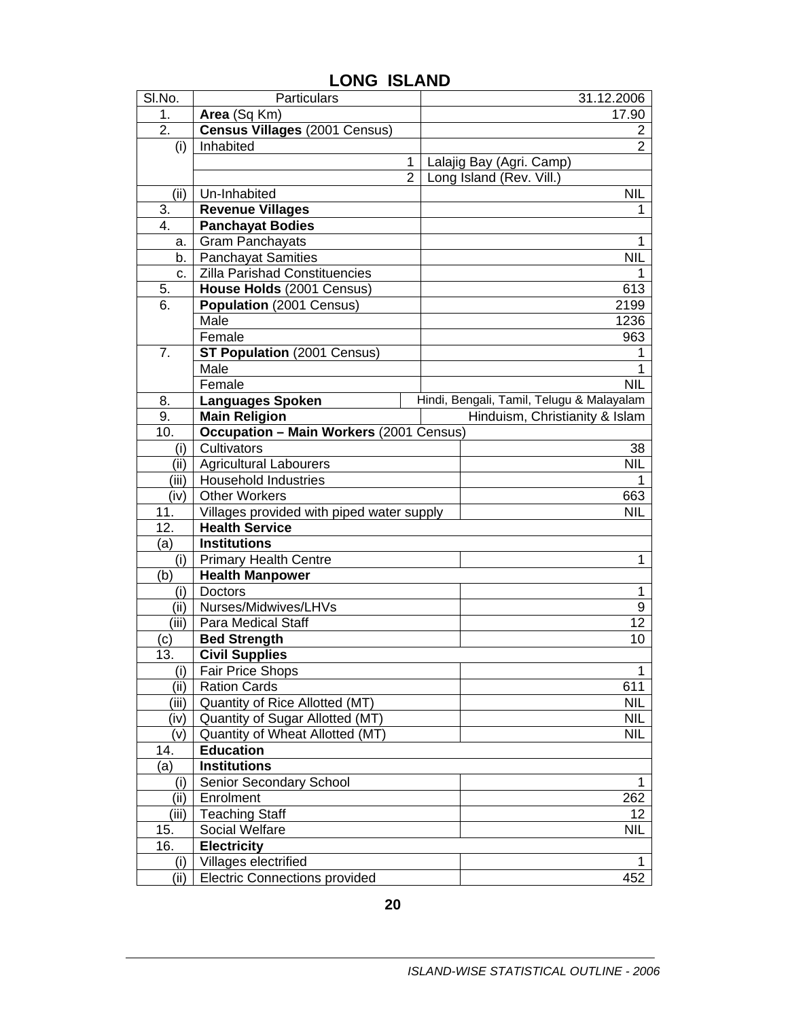| SI.No. | Particulars                                    |                | 31.12.2006                                |
|--------|------------------------------------------------|----------------|-------------------------------------------|
| 1.     | Area (Sq Km)                                   |                | 17.90                                     |
| 2.     | Census Villages (2001 Census)                  |                | 2                                         |
| (i)    | Inhabited                                      |                | $\overline{2}$                            |
|        |                                                | 1              | Lalajig Bay (Agri. Camp)                  |
|        |                                                | $\overline{2}$ | Long Island (Rev. Vill.)                  |
| (ii)   | Un-Inhabited                                   |                | NIL                                       |
| 3.     | <b>Revenue Villages</b>                        |                | 1                                         |
| 4.     | <b>Panchayat Bodies</b>                        |                |                                           |
| а.     | <b>Gram Panchayats</b>                         |                | 1                                         |
| b.     | <b>Panchayat Samities</b>                      |                | NIL                                       |
| c.     | Zilla Parishad Constituencies                  |                | 1                                         |
| 5.     | House Holds (2001 Census)                      |                | 613                                       |
| 6.     | Population (2001 Census)                       |                | 2199                                      |
|        | Male                                           |                | 1236                                      |
|        | Female                                         |                | 963                                       |
| 7.     | <b>ST Population (2001 Census)</b>             |                | 1                                         |
|        | Male                                           |                | 1                                         |
|        | Female                                         |                | <b>NIL</b>                                |
| 8.     | <b>Languages Spoken</b>                        |                | Hindi, Bengali, Tamil, Telugu & Malayalam |
| 9.     | <b>Main Religion</b>                           |                | Hinduism, Christianity & Islam            |
| 10.    | <b>Occupation - Main Workers (2001 Census)</b> |                |                                           |
| (i)    | Cultivators                                    |                | 38                                        |
| (ii)   | <b>Agricultural Labourers</b>                  |                | <b>NIL</b>                                |
| (iii)  | <b>Household Industries</b>                    |                | 1                                         |
| (iv)   | <b>Other Workers</b>                           |                | 663                                       |
| 11.    | Villages provided with piped water supply      |                | <b>NIL</b>                                |
| 12.    | <b>Health Service</b>                          |                |                                           |
| (a)    | <b>Institutions</b>                            |                |                                           |
| (i)    | <b>Primary Health Centre</b>                   |                | 1                                         |
| (b)    | <b>Health Manpower</b>                         |                |                                           |
| (i)    | <b>Doctors</b>                                 |                | 1                                         |
| (ii)   | Nurses/Midwives/LHVs                           |                | 9                                         |
| (iii)  | Para Medical Staff                             |                | 12                                        |
| (c)    | <b>Bed Strength</b>                            |                | 10                                        |
| 13.    | <b>Civil Supplies</b>                          |                |                                           |
| (i)    | <b>Fair Price Shops</b>                        |                | 1                                         |
| (ii)   | <b>Ration Cards</b>                            |                | 611                                       |
| (iii)  | Quantity of Rice Allotted (MT)                 |                | <b>NIL</b>                                |
| (iv)   | Quantity of Sugar Allotted (MT)                |                | NIL                                       |
| (v)    | Quantity of Wheat Allotted (MT)                |                | <b>NIL</b>                                |
| 14.    | <b>Education</b>                               |                |                                           |
| (a)    | <b>Institutions</b>                            |                |                                           |
| (i)    | Senior Secondary School                        |                | 1                                         |
| (i)    | Enrolment                                      |                | 262                                       |
| (iii)  | <b>Teaching Staff</b>                          |                | 12                                        |
| 15.    | <b>Social Welfare</b>                          |                | <b>NIL</b>                                |
| 16.    | <b>Electricity</b>                             |                |                                           |
| (i)    | Villages electrified                           |                | 1                                         |
| (i)    | <b>Electric Connections provided</b>           |                | 452                                       |

## **LONG ISLAND**